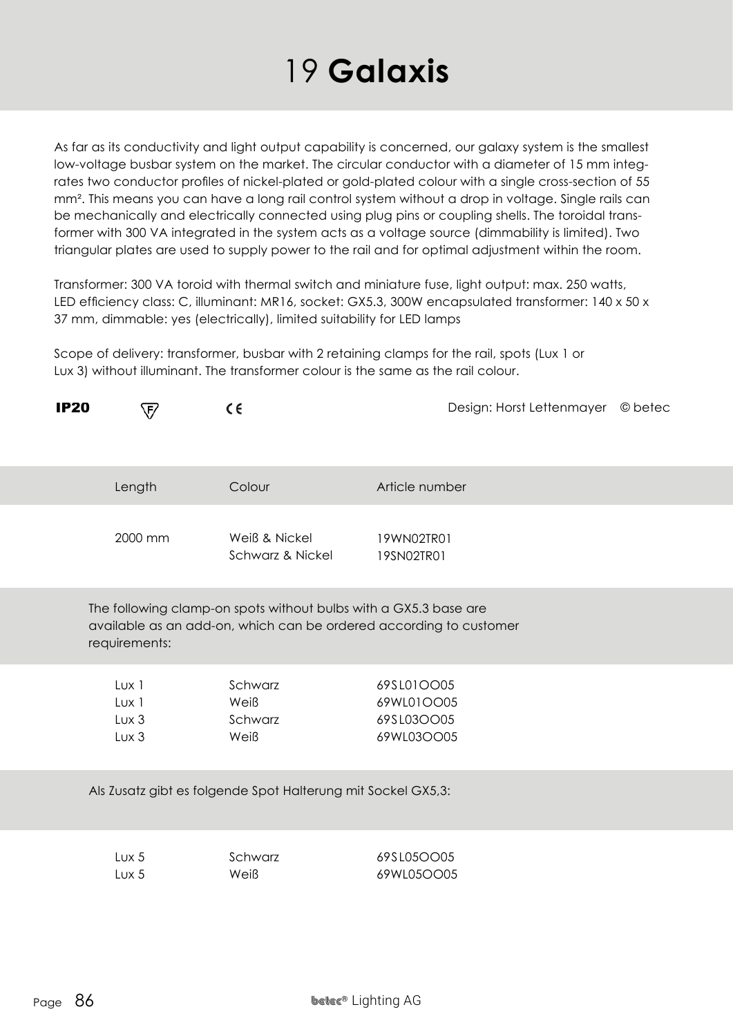## 19 **Galaxis**

As far as its conductivity and light output capability is concerned, our galaxy system is the smallest low-voltage busbar system on the market. The circular conductor with a diameter of 15 mm integrates two conductor profiles of nickel-plated or gold-plated colour with a single cross-section of 55 mm². This means you can have a long rail control system without a drop in voltage. Single rails can be mechanically and electrically connected using plug pins or coupling shells. The toroidal transformer with 300 VA integrated in the system acts as a voltage source (dimmability is limited). Two triangular plates are used to supply power to the rail and for optimal adjustment within the room.

Transformer: 300 VA toroid with thermal switch and miniature fuse, light output: max. 250 watts, LED efficiency class: C, illuminant: MR16, socket: GX5.3, 300W encapsulated transformer: 140 x 50 x 37 mm, dimmable: yes (electrically), limited suitability for LED lamps

Scope of delivery: transformer, busbar with 2 retaining clamps for the rail, spots (Lux 1 or Lux 3) without illuminant. The transformer colour is the same as the rail colour.

| <b>IP20</b>                                                                                                                                             | ∇                               | CE                                 | Design: Horst Lettenmayer<br>© betec                 |  |  |  |  |
|---------------------------------------------------------------------------------------------------------------------------------------------------------|---------------------------------|------------------------------------|------------------------------------------------------|--|--|--|--|
|                                                                                                                                                         | Length                          | Colour                             | Article number                                       |  |  |  |  |
|                                                                                                                                                         | 2000 mm                         | Weiß & Nickel<br>Schwarz & Nickel  | 19WN02TR01<br>19SN02TR01                             |  |  |  |  |
| The following clamp-on spots without bulbs with a GX5.3 base are<br>available as an add-on, which can be ordered according to customer<br>requirements: |                                 |                                    |                                                      |  |  |  |  |
|                                                                                                                                                         | Lux 1<br>Lux 1<br>Lux3<br>Lux 3 | Schwarz<br>Weiß<br>Schwarz<br>Weiß | 69SL01OO05<br>69WL01OO05<br>69SL03OO05<br>69WL03OO05 |  |  |  |  |
| Als Zusatz gibt es folgende Spot Halterung mit Sockel GX5,3:                                                                                            |                                 |                                    |                                                      |  |  |  |  |
|                                                                                                                                                         | Lux <sub>5</sub><br>Lux 5       | Schwarz<br>Weiß                    | 69SL05OO05<br>69WL05OO05                             |  |  |  |  |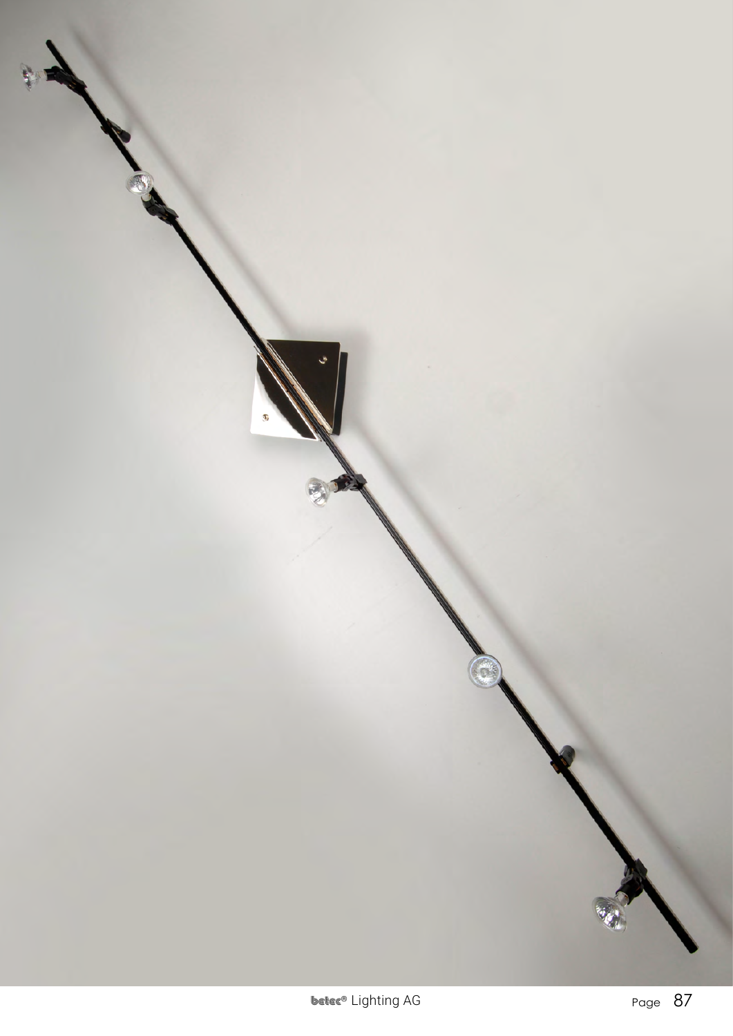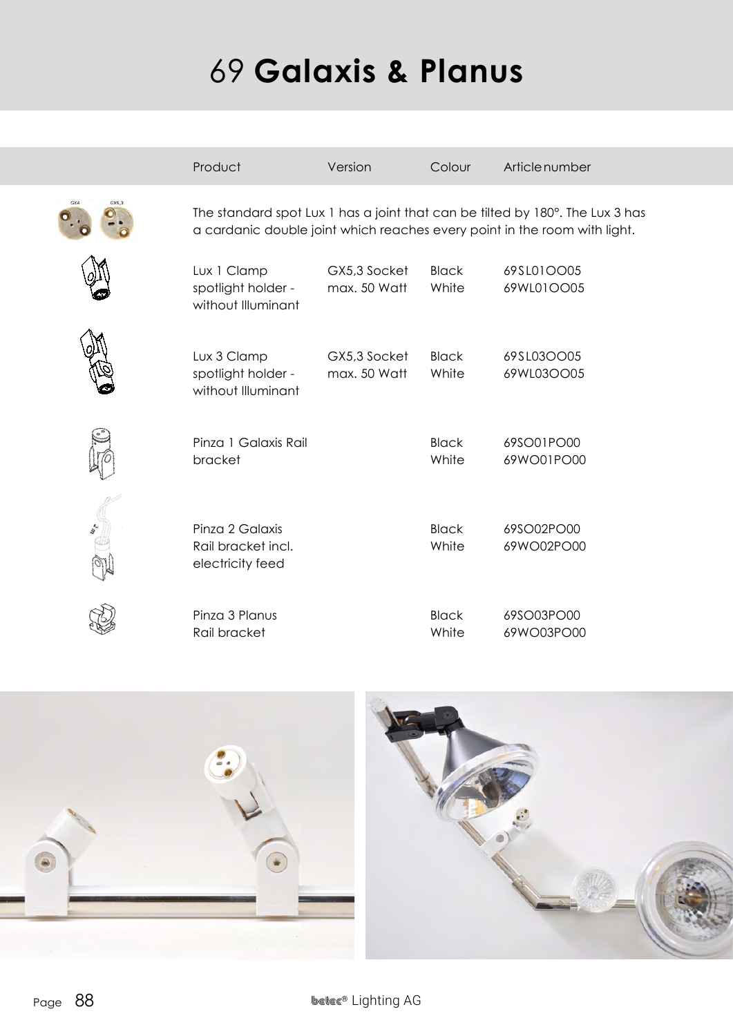## 69 **Galaxis & Planus**

|              | Product                                                   | Version                      | Colour                | Article number                                                                                                                                             |
|--------------|-----------------------------------------------------------|------------------------------|-----------------------|------------------------------------------------------------------------------------------------------------------------------------------------------------|
| GX5,3<br>GX4 |                                                           |                              |                       | The standard spot Lux 1 has a joint that can be tilted by 180°. The Lux 3 has<br>a cardanic double joint which reaches every point in the room with light. |
|              | Lux 1 Clamp<br>spotlight holder -<br>without Illuminant   | GX5,3 Socket<br>max. 50 Watt | <b>Black</b><br>White | 69SL01OO05<br>69WL01OO05                                                                                                                                   |
|              | Lux 3 Clamp<br>spotlight holder -<br>without Illuminant   | GX5,3 Socket<br>max. 50 Watt | <b>Black</b><br>White | 69SL03OO05<br>69WL03OO05                                                                                                                                   |
|              | Pinza 1 Galaxis Rail<br>bracket                           |                              | <b>Black</b><br>White | 69SO01PO00<br>69WO01PO00                                                                                                                                   |
|              | Pinza 2 Galaxis<br>Rail bracket incl.<br>electricity feed |                              | <b>Black</b><br>White | 69SO02PO00<br>69WO02PO00                                                                                                                                   |
|              | Pinza 3 Planus<br>Rail bracket                            |                              | <b>Black</b><br>White | 69SO03PO00<br>69WO03PO00                                                                                                                                   |
|              |                                                           |                              |                       |                                                                                                                                                            |

 $\bullet$